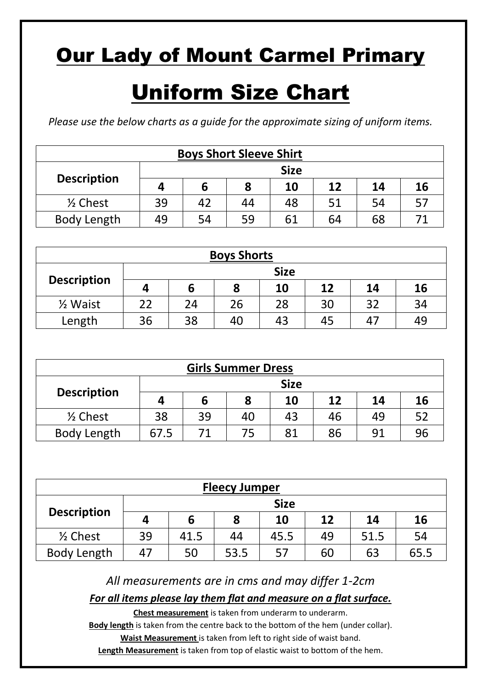# Uniform Size Chart

*Please use the below charts as a guide for the approximate sizing of uniform items.*

| <b>Boys Short Sleeve Shirt</b> |                                       |    |    |    |    |    |    |  |  |  |
|--------------------------------|---------------------------------------|----|----|----|----|----|----|--|--|--|
| <b>Size</b>                    |                                       |    |    |    |    |    |    |  |  |  |
| <b>Description</b>             | 12<br>10<br><b>16</b><br>14<br>8<br>ь |    |    |    |    |    |    |  |  |  |
| $\frac{1}{2}$ Chest            | 39                                    | 42 | 44 | 48 | 51 | 54 | 57 |  |  |  |
| Body Length                    | 59<br>68<br>54<br>61<br>64<br>49      |    |    |    |    |    |    |  |  |  |

| <b>Boys Shorts</b>  |    |                                  |  |  |  |  |  |  |  |  |
|---------------------|----|----------------------------------|--|--|--|--|--|--|--|--|
| <b>Size</b>         |    |                                  |  |  |  |  |  |  |  |  |
| <b>Description</b>  | л  | 10<br>16<br>12<br>8<br>14<br>b   |  |  |  |  |  |  |  |  |
| $\frac{1}{2}$ Waist | 22 | 30<br>28<br>34<br>26<br>24<br>32 |  |  |  |  |  |  |  |  |
| Length              | 36 | 38<br>40<br>43<br>49<br>45<br>47 |  |  |  |  |  |  |  |  |

| <b>Girls Summer Dress</b> |              |                                       |    |    |    |    |    |  |  |  |
|---------------------------|--------------|---------------------------------------|----|----|----|----|----|--|--|--|
|                           | <b>Size</b>  |                                       |    |    |    |    |    |  |  |  |
| <b>Description</b>        | $\mathbf{u}$ | 10<br>12<br>14<br><b>16</b><br>8<br>b |    |    |    |    |    |  |  |  |
| $\frac{1}{2}$ Chest       | 38           | 39                                    | 40 | 43 | 46 | 49 | 52 |  |  |  |
| <b>Body Length</b>        | 67.5         | 96<br>81<br>86<br>91<br>75            |    |    |    |    |    |  |  |  |

| <b>Fleecy Jumper</b> |    |                                        |                                |  |  |  |  |  |  |  |  |  |
|----------------------|----|----------------------------------------|--------------------------------|--|--|--|--|--|--|--|--|--|
| <b>Size</b>          |    |                                        |                                |  |  |  |  |  |  |  |  |  |
| <b>Description</b>   | 4  | 16<br>12<br>8<br>10<br>14<br>6         |                                |  |  |  |  |  |  |  |  |  |
| $\frac{1}{2}$ Chest  | 39 | 54<br>49<br>45.5<br>51.5<br>44<br>41.5 |                                |  |  |  |  |  |  |  |  |  |
| Body Length          | 47 | 50                                     | 53.5<br>57<br>60<br>63<br>65.5 |  |  |  |  |  |  |  |  |  |

*All measurements are in cms and may differ 1-2cm*

*For all items please lay them flat and measure on a flat surface.*

**Chest measurement** is taken from underarm to underarm.

Body length is taken from the centre back to the bottom of the hem (under collar).

**Waist Measurement** is taken from left to right side of waist band.

**Length Measurement** is taken from top of elastic waist to bottom of the hem.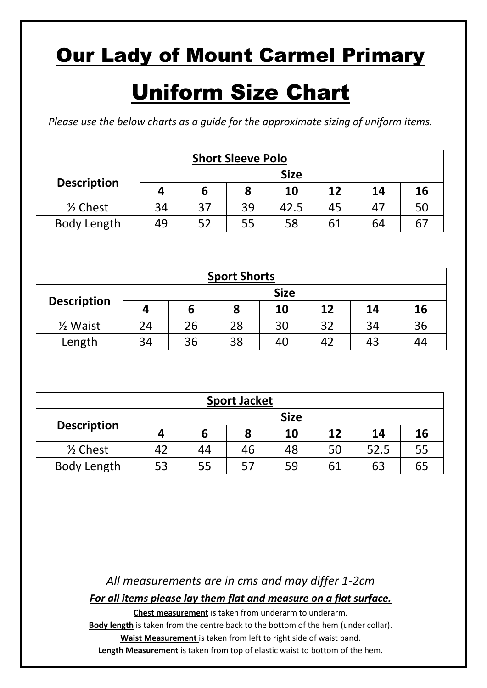# Uniform Size Chart

*Please use the below charts as a guide for the approximate sizing of uniform items.*

| <b>Short Sleeve Polo</b> |                                          |  |  |  |  |  |  |  |  |  |
|--------------------------|------------------------------------------|--|--|--|--|--|--|--|--|--|
| <b>Size</b>              |                                          |  |  |  |  |  |  |  |  |  |
| <b>Description</b>       | 16<br>12<br>10<br>14<br>Δ<br>b           |  |  |  |  |  |  |  |  |  |
| $\frac{1}{2}$ Chest      | 37<br>39<br>34<br>50<br>47<br>45<br>42.5 |  |  |  |  |  |  |  |  |  |
| <b>Body Length</b>       | 58<br>55<br>ヒつ<br>61<br>64<br>6<br>49    |  |  |  |  |  |  |  |  |  |

| <b>Sport Shorts</b> |    |                                  |    |    |    |    |    |  |  |  |
|---------------------|----|----------------------------------|----|----|----|----|----|--|--|--|
| <b>Size</b>         |    |                                  |    |    |    |    |    |  |  |  |
| <b>Description</b>  | 4  | 16<br>12<br>10<br>8<br>14<br>ь   |    |    |    |    |    |  |  |  |
| $\frac{1}{2}$ Waist | 24 | 36<br>34<br>32<br>28<br>30<br>26 |    |    |    |    |    |  |  |  |
| Length              | 34 | 36                               | 38 | 40 | 42 | 43 | 44 |  |  |  |

| <b>Sport Jacket</b> |              |                                  |    |    |    |      |    |  |  |  |
|---------------------|--------------|----------------------------------|----|----|----|------|----|--|--|--|
| <b>Size</b>         |              |                                  |    |    |    |      |    |  |  |  |
| <b>Description</b>  | $\mathbf{a}$ | 16<br>12<br>10<br>14<br>8        |    |    |    |      |    |  |  |  |
| $\frac{1}{2}$ Chest | 42           | 44                               | 46 | 48 | 50 | 52.5 | 55 |  |  |  |
| <b>Body Length</b>  | 53           | 59<br>63<br>57<br>65<br>61<br>55 |    |    |    |      |    |  |  |  |

*All measurements are in cms and may differ 1-2cm For all items please lay them flat and measure on a flat surface.*

**Chest measurement** is taken from underarm to underarm.

Body length is taken from the centre back to the bottom of the hem (under collar). **Waist Measurement** is taken from left to right side of waist band. **Length Measurement** is taken from top of elastic waist to bottom of the hem.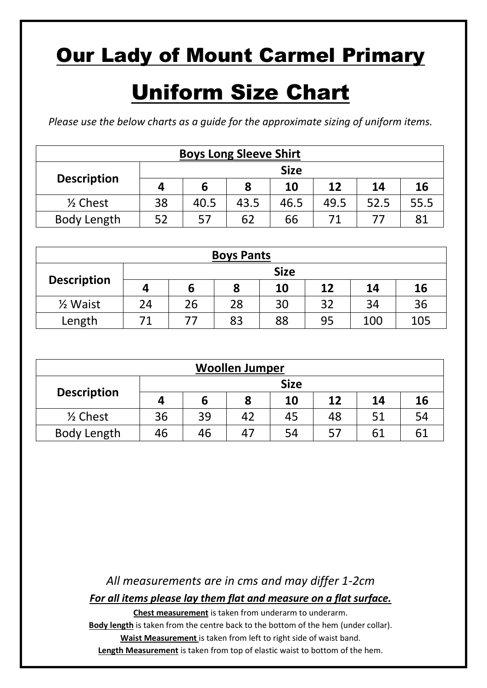# Uniform Size Chart

*Please use the below charts as a guide for the approximate sizing of uniform items.*

| <b>Boys Long Sleeve Shirt</b> |                                     |                      |      |      |      |      |      |  |  |  |
|-------------------------------|-------------------------------------|----------------------|------|------|------|------|------|--|--|--|
| <b>Size</b>                   |                                     |                      |      |      |      |      |      |  |  |  |
| <b>Description</b>            | 12<br>16<br>10<br>14<br>8<br>6<br>4 |                      |      |      |      |      |      |  |  |  |
| $\frac{1}{2}$ Chest           | 38                                  | 40.5                 | 43.5 | 46.5 | 49.5 | 52.5 | 55.5 |  |  |  |
| <b>Body Length</b>            | につ                                  | 57<br>62<br>66<br>81 |      |      |      |      |      |  |  |  |

| <b>Boys Pants</b>   |    |                                       |    |    |    |     |     |  |  |  |
|---------------------|----|---------------------------------------|----|----|----|-----|-----|--|--|--|
|                     |    | <b>Size</b>                           |    |    |    |     |     |  |  |  |
| <b>Description</b>  |    | 10<br>12<br><b>16</b><br>8<br>14<br>b |    |    |    |     |     |  |  |  |
| $\frac{1}{2}$ Waist | 24 | 28<br>32<br>26<br>30<br>36<br>34      |    |    |    |     |     |  |  |  |
| Length              |    |                                       | 83 | 88 | 95 | 100 | 105 |  |  |  |

| <b>Woollen Jumper</b> |                                     |                                  |    |    |    |    |    |  |  |  |
|-----------------------|-------------------------------------|----------------------------------|----|----|----|----|----|--|--|--|
|                       |                                     |                                  |    |    |    |    |    |  |  |  |
| <b>Description</b>    | 16<br>10<br>12<br>8<br>14<br>Δ<br>6 |                                  |    |    |    |    |    |  |  |  |
| $\frac{1}{2}$ Chest   | 36                                  | 39                               | 42 | 45 | 48 | 51 | 54 |  |  |  |
| <b>Body Length</b>    | 46                                  | 61<br>61<br>54<br>57<br>46<br>47 |    |    |    |    |    |  |  |  |

*All measurements are in cms and may differ 1-2cm For all items please lay them flat and measure on a flat surface.*

**Chest measurement** is taken from underarm to underarm.

Body length is taken from the centre back to the bottom of the hem (under collar). **Waist Measurement** is taken from left to right side of waist band. **Length Measurement** is taken from top of elastic waist to bottom of the hem.